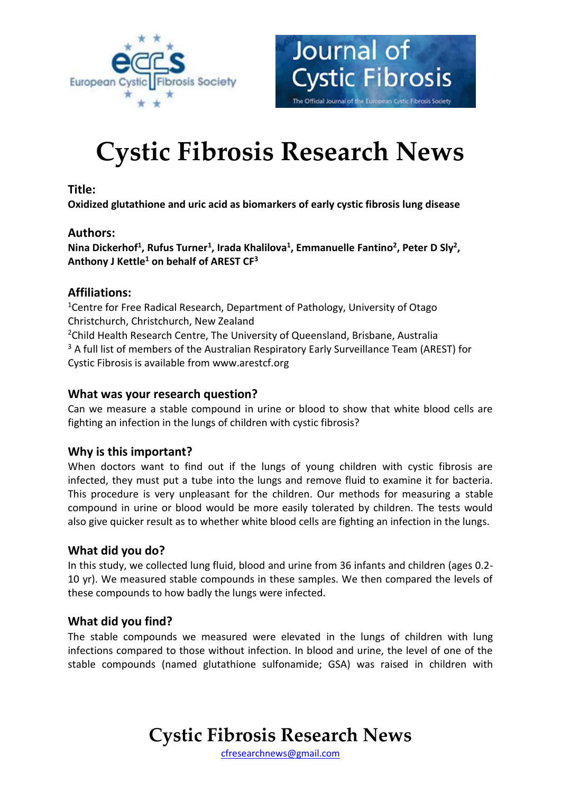



# **Cystic Fibrosis Research News**

#### **Title:**

**Oxidized glutathione and uric acid as biomarkers of early cystic fibrosis lung disease**

#### **Authors:**

**Nina Dickerhof<sup>1</sup> , Rufus Turner<sup>1</sup> , Irada Khalilova<sup>1</sup> , Emmanuelle Fantino<sup>2</sup> , Peter D Sly<sup>2</sup> , Anthony J Kettle<sup>1</sup> on behalf of AREST CF<sup>3</sup>**

#### **Affiliations:**

<sup>1</sup> Centre for Free Radical Research, Department of Pathology, University of Otago Christchurch, Christchurch, New Zealand <sup>2</sup>Child Health Research Centre, The University of Queensland, Brisbane, Australia <sup>3</sup> A full list of members of the Australian Respiratory Early Surveillance Team (AREST) for Cystic Fibrosis is available from www.arestcf.org

#### **What was your research question?**

Can we measure a stable compound in urine or blood to show that white blood cells are fighting an infection in the lungs of children with cystic fibrosis?

# **Why is this important?**

When doctors want to find out if the lungs of young children with cystic fibrosis are infected, they must put a tube into the lungs and remove fluid to examine it for bacteria. This procedure is very unpleasant for the children. Our methods for measuring a stable compound in urine or blood would be more easily tolerated by children. The tests would also give quicker result as to whether white blood cells are fighting an infection in the lungs.

# **What did you do?**

In this study, we collected lung fluid, blood and urine from 36 infants and children (ages 0.2- 10 yr). We measured stable compounds in these samples. We then compared the levels of these compounds to how badly the lungs were infected.

# **What did you find?**

The stable compounds we measured were elevated in the lungs of children with lung infections compared to those without infection. In blood and urine, the level of one of the stable compounds (named glutathione sulfonamide; GSA) was raised in children with

# **Cystic Fibrosis Research News**

[cfresearchnews@gmail.com](mailto:cfresearchnews@gmail.com)